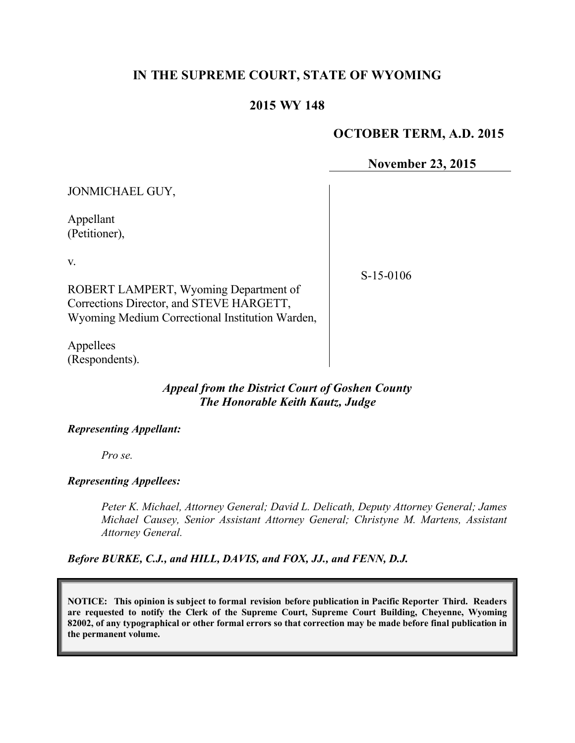## **IN THE SUPREME COURT, STATE OF WYOMING**

#### **2015 WY 148**

#### **OCTOBER TERM, A.D. 2015**

**November 23, 2015**

| JONMICHAEL GUY,                                                                                                                            |             |
|--------------------------------------------------------------------------------------------------------------------------------------------|-------------|
| Appellant<br>(Petitioner),                                                                                                                 |             |
| V.<br>ROBERT LAMPERT, Wyoming Department of<br>Corrections Director, and STEVE HARGETT,<br>Wyoming Medium Correctional Institution Warden, | $S-15-0106$ |
|                                                                                                                                            |             |

Appellees (Respondents).

## *Appeal from the District Court of Goshen County The Honorable Keith Kautz, Judge*

#### *Representing Appellant:*

*Pro se.*

#### *Representing Appellees:*

*Peter K. Michael, Attorney General; David L. Delicath, Deputy Attorney General; James Michael Causey, Senior Assistant Attorney General; Christyne M. Martens, Assistant Attorney General.*

*Before BURKE, C.J., and HILL, DAVIS, and FOX, JJ., and FENN, D.J.*

**NOTICE: This opinion is subject to formal revision before publication in Pacific Reporter Third. Readers are requested to notify the Clerk of the Supreme Court, Supreme Court Building, Cheyenne, Wyoming 82002, of any typographical or other formal errors so that correction may be made before final publication in the permanent volume.**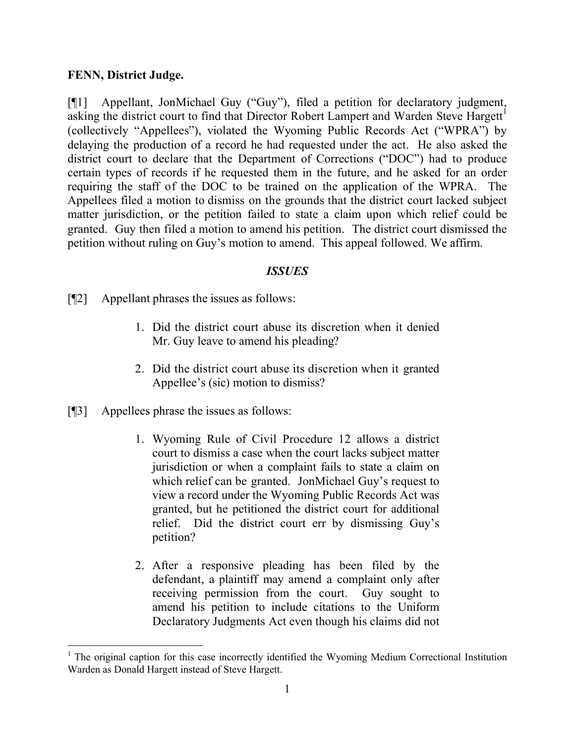### **FENN, District Judge.**

[¶1] Appellant, JonMichael Guy ("Guy"), filed a petition for declaratory judgment, asking the district court to find that Director Robert Lampert and Warden Steve Hargett<sup>1</sup> (collectively "Appellees"), violated the Wyoming Public Records Act ("WPRA") by delaying the production of a record he had requested under the act. He also asked the district court to declare that the Department of Corrections ("DOC") had to produce certain types of records if he requested them in the future, and he asked for an order requiring the staff of the DOC to be trained on the application of the WPRA. The Appellees filed a motion to dismiss on the grounds that the district court lacked subject matter jurisdiction, or the petition failed to state a claim upon which relief could be granted. Guy then filed a motion to amend his petition. The district court dismissed the petition without ruling on Guy's motion to amend. This appeal followed. We affirm.

#### *ISSUES*

[¶2] Appellant phrases the issues as follows:

- 1. Did the district court abuse its discretion when it denied Mr. Guy leave to amend his pleading?
- 2. Did the district court abuse its discretion when it granted Appellee's (sic) motion to dismiss?
- [¶3] Appellees phrase the issues as follows:

- 1. Wyoming Rule of Civil Procedure 12 allows a district court to dismiss a case when the court lacks subject matter jurisdiction or when a complaint fails to state a claim on which relief can be granted. JonMichael Guy's request to view a record under the Wyoming Public Records Act was granted, but he petitioned the district court for additional relief. Did the district court err by dismissing Guy's petition?
- 2. After a responsive pleading has been filed by the defendant, a plaintiff may amend a complaint only after receiving permission from the court. Guy sought to amend his petition to include citations to the Uniform Declaratory Judgments Act even though his claims did not

<sup>&</sup>lt;sup>1</sup> The original caption for this case incorrectly identified the Wyoming Medium Correctional Institution Warden as Donald Hargett instead of Steve Hargett.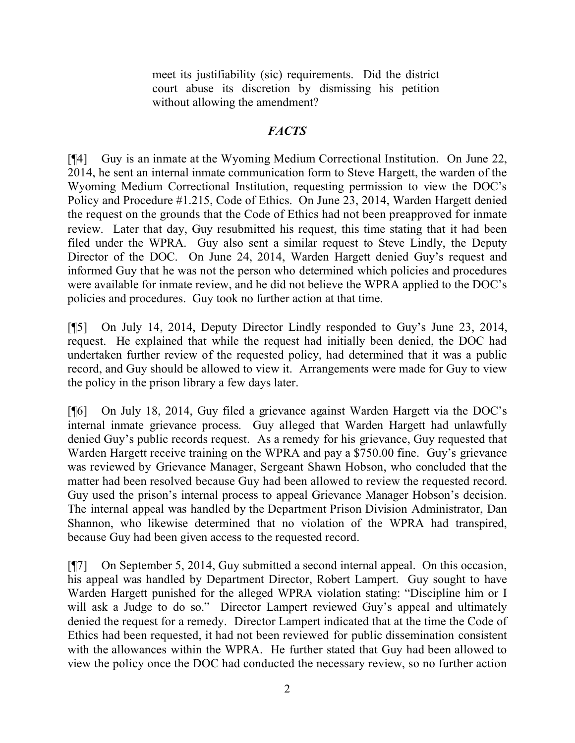meet its justifiability (sic) requirements. Did the district court abuse its discretion by dismissing his petition without allowing the amendment?

## *FACTS*

[¶4] Guy is an inmate at the Wyoming Medium Correctional Institution. On June 22, 2014, he sent an internal inmate communication form to Steve Hargett, the warden of the Wyoming Medium Correctional Institution, requesting permission to view the DOC's Policy and Procedure #1.215, Code of Ethics. On June 23, 2014, Warden Hargett denied the request on the grounds that the Code of Ethics had not been preapproved for inmate review. Later that day, Guy resubmitted his request, this time stating that it had been filed under the WPRA. Guy also sent a similar request to Steve Lindly, the Deputy Director of the DOC. On June 24, 2014, Warden Hargett denied Guy's request and informed Guy that he was not the person who determined which policies and procedures were available for inmate review, and he did not believe the WPRA applied to the DOC's policies and procedures. Guy took no further action at that time.

[¶5] On July 14, 2014, Deputy Director Lindly responded to Guy's June 23, 2014, request. He explained that while the request had initially been denied, the DOC had undertaken further review of the requested policy, had determined that it was a public record, and Guy should be allowed to view it. Arrangements were made for Guy to view the policy in the prison library a few days later.

[¶6] On July 18, 2014, Guy filed a grievance against Warden Hargett via the DOC's internal inmate grievance process. Guy alleged that Warden Hargett had unlawfully denied Guy's public records request. As a remedy for his grievance, Guy requested that Warden Hargett receive training on the WPRA and pay a \$750.00 fine. Guy's grievance was reviewed by Grievance Manager, Sergeant Shawn Hobson, who concluded that the matter had been resolved because Guy had been allowed to review the requested record. Guy used the prison's internal process to appeal Grievance Manager Hobson's decision. The internal appeal was handled by the Department Prison Division Administrator, Dan Shannon, who likewise determined that no violation of the WPRA had transpired, because Guy had been given access to the requested record.

[¶7] On September 5, 2014, Guy submitted a second internal appeal. On this occasion, his appeal was handled by Department Director, Robert Lampert. Guy sought to have Warden Hargett punished for the alleged WPRA violation stating: "Discipline him or I will ask a Judge to do so." Director Lampert reviewed Guy's appeal and ultimately denied the request for a remedy. Director Lampert indicated that at the time the Code of Ethics had been requested, it had not been reviewed for public dissemination consistent with the allowances within the WPRA. He further stated that Guy had been allowed to view the policy once the DOC had conducted the necessary review, so no further action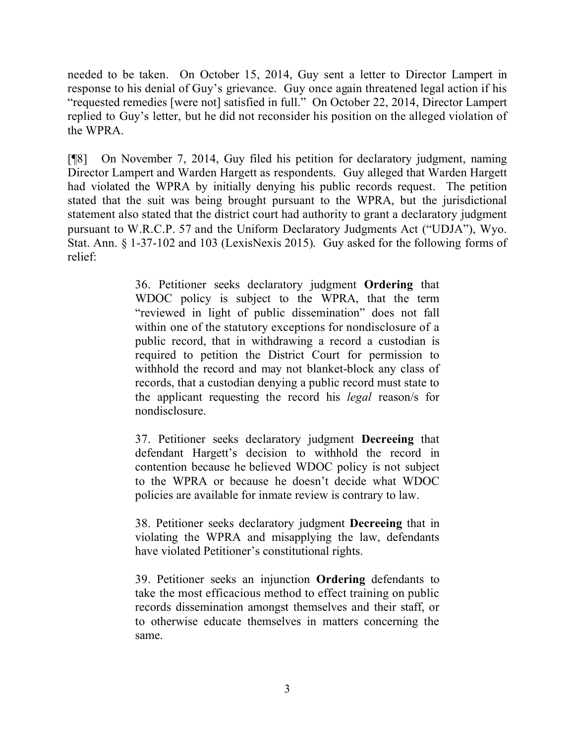needed to be taken. On October 15, 2014, Guy sent a letter to Director Lampert in response to his denial of Guy's grievance. Guy once again threatened legal action if his "requested remedies [were not] satisfied in full." On October 22, 2014, Director Lampert replied to Guy's letter, but he did not reconsider his position on the alleged violation of the WPRA.

[¶8] On November 7, 2014, Guy filed his petition for declaratory judgment, naming Director Lampert and Warden Hargett as respondents. Guy alleged that Warden Hargett had violated the WPRA by initially denying his public records request. The petition stated that the suit was being brought pursuant to the WPRA, but the jurisdictional statement also stated that the district court had authority to grant a declaratory judgment pursuant to W.R.C.P. 57 and the Uniform Declaratory Judgments Act ("UDJA"), Wyo. Stat. Ann. § 1-37-102 and 103 (LexisNexis 2015). Guy asked for the following forms of relief:

> 36. Petitioner seeks declaratory judgment **Ordering** that WDOC policy is subject to the WPRA, that the term "reviewed in light of public dissemination" does not fall within one of the statutory exceptions for nondisclosure of a public record, that in withdrawing a record a custodian is required to petition the District Court for permission to withhold the record and may not blanket-block any class of records, that a custodian denying a public record must state to the applicant requesting the record his *legal* reason/s for nondisclosure.

> 37. Petitioner seeks declaratory judgment **Decreeing** that defendant Hargett's decision to withhold the record in contention because he believed WDOC policy is not subject to the WPRA or because he doesn't decide what WDOC policies are available for inmate review is contrary to law.

> 38. Petitioner seeks declaratory judgment **Decreeing** that in violating the WPRA and misapplying the law, defendants have violated Petitioner's constitutional rights.

> 39. Petitioner seeks an injunction **Ordering** defendants to take the most efficacious method to effect training on public records dissemination amongst themselves and their staff, or to otherwise educate themselves in matters concerning the same.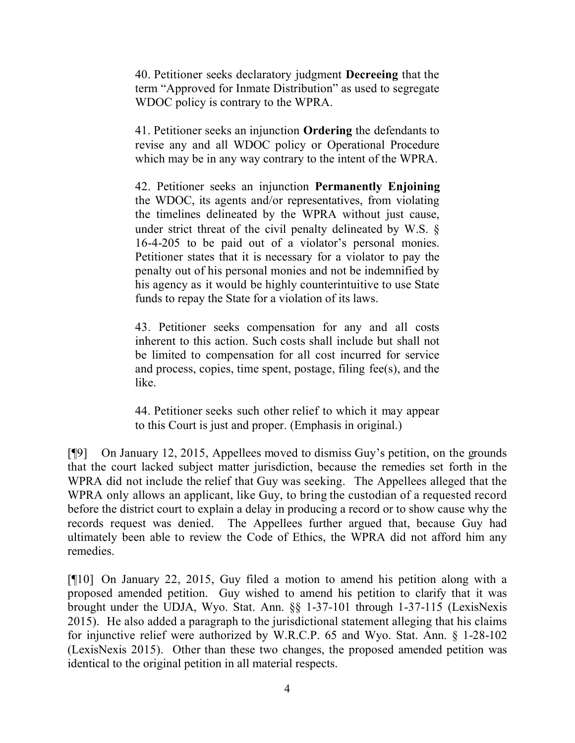40. Petitioner seeks declaratory judgment **Decreeing** that the term "Approved for Inmate Distribution" as used to segregate WDOC policy is contrary to the WPRA.

41. Petitioner seeks an injunction **Ordering** the defendants to revise any and all WDOC policy or Operational Procedure which may be in any way contrary to the intent of the WPRA.

42. Petitioner seeks an injunction **Permanently Enjoining** the WDOC, its agents and/or representatives, from violating the timelines delineated by the WPRA without just cause, under strict threat of the civil penalty delineated by W.S. § 16-4-205 to be paid out of a violator's personal monies. Petitioner states that it is necessary for a violator to pay the penalty out of his personal monies and not be indemnified by his agency as it would be highly counterintuitive to use State funds to repay the State for a violation of its laws.

43. Petitioner seeks compensation for any and all costs inherent to this action. Such costs shall include but shall not be limited to compensation for all cost incurred for service and process, copies, time spent, postage, filing fee(s), and the like.

44. Petitioner seeks such other relief to which it may appear to this Court is just and proper. (Emphasis in original.)

[¶9] On January 12, 2015, Appellees moved to dismiss Guy's petition, on the grounds that the court lacked subject matter jurisdiction, because the remedies set forth in the WPRA did not include the relief that Guy was seeking. The Appellees alleged that the WPRA only allows an applicant, like Guy, to bring the custodian of a requested record before the district court to explain a delay in producing a record or to show cause why the records request was denied. The Appellees further argued that, because Guy had ultimately been able to review the Code of Ethics, the WPRA did not afford him any remedies.

[¶10] On January 22, 2015, Guy filed a motion to amend his petition along with a proposed amended petition. Guy wished to amend his petition to clarify that it was brought under the UDJA, Wyo. Stat. Ann. §§ 1-37-101 through 1-37-115 (LexisNexis 2015). He also added a paragraph to the jurisdictional statement alleging that his claims for injunctive relief were authorized by W.R.C.P. 65 and Wyo. Stat. Ann. § 1-28-102 (LexisNexis 2015). Other than these two changes, the proposed amended petition was identical to the original petition in all material respects.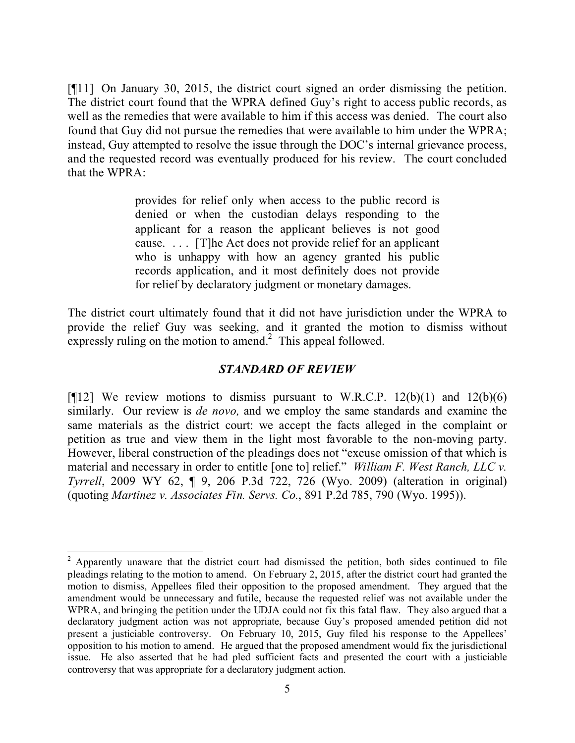[¶11] On January 30, 2015, the district court signed an order dismissing the petition. The district court found that the WPRA defined Guy's right to access public records, as well as the remedies that were available to him if this access was denied. The court also found that Guy did not pursue the remedies that were available to him under the WPRA; instead, Guy attempted to resolve the issue through the DOC's internal grievance process, and the requested record was eventually produced for his review. The court concluded that the WPRA:

> provides for relief only when access to the public record is denied or when the custodian delays responding to the applicant for a reason the applicant believes is not good cause. . . . [T]he Act does not provide relief for an applicant who is unhappy with how an agency granted his public records application, and it most definitely does not provide for relief by declaratory judgment or monetary damages.

The district court ultimately found that it did not have jurisdiction under the WPRA to provide the relief Guy was seeking, and it granted the motion to dismiss without expressly ruling on the motion to amend.<sup>2</sup> This appeal followed.

#### *STANDARD OF REVIEW*

[ $[12]$ ] We review motions to dismiss pursuant to W.R.C.P. 12(b)(1) and 12(b)(6) similarly. Our review is *de novo,* and we employ the same standards and examine the same materials as the district court: we accept the facts alleged in the complaint or petition as true and view them in the light most favorable to the non-moving party. However, liberal construction of the pleadings does not "excuse omission of that which is material and necessary in order to entitle [one to] relief." *William F. West Ranch, LLC v. Tyrrell*, 2009 WY 62, ¶ 9, 206 P.3d 722, 726 (Wyo. 2009) (alteration in original) (quoting *Martinez v. Associates Fin. Servs. Co.*, 891 P.2d 785, 790 (Wyo. 1995)).

 $2$  Apparently unaware that the district court had dismissed the petition, both sides continued to file pleadings relating to the motion to amend. On February 2, 2015, after the district court had granted the motion to dismiss, Appellees filed their opposition to the proposed amendment. They argued that the amendment would be unnecessary and futile, because the requested relief was not available under the WPRA, and bringing the petition under the UDJA could not fix this fatal flaw. They also argued that a declaratory judgment action was not appropriate, because Guy's proposed amended petition did not present a justiciable controversy. On February 10, 2015, Guy filed his response to the Appellees' opposition to his motion to amend. He argued that the proposed amendment would fix the jurisdictional issue. He also asserted that he had pled sufficient facts and presented the court with a justiciable controversy that was appropriate for a declaratory judgment action.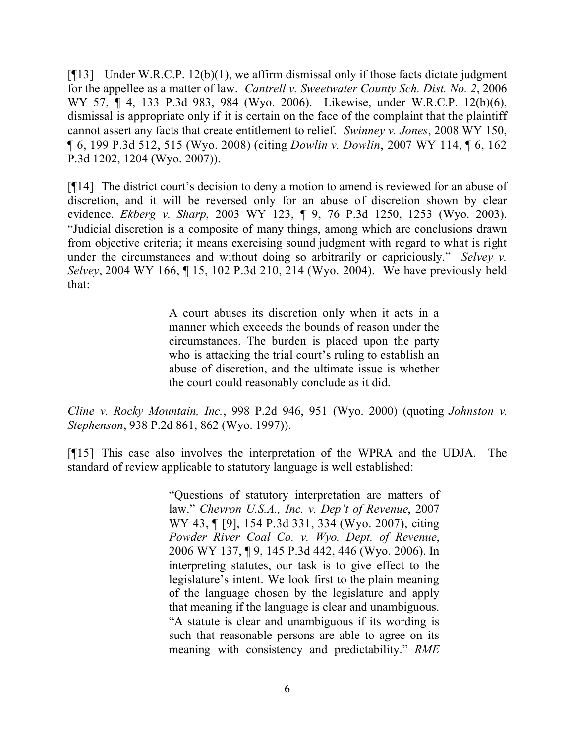$[$ [[13] Under W.R.C.P. 12(b)(1), we affirm dismissal only if those facts dictate judgment for the appellee as a matter of law. *Cantrell v. Sweetwater County Sch. Dist. No. 2*, 2006 WY 57, ¶ 4, 133 P.3d 983, 984 (Wyo. 2006). Likewise, under W.R.C.P. 12(b)(6), dismissal is appropriate only if it is certain on the face of the complaint that the plaintiff cannot assert any facts that create entitlement to relief. *Swinney v. Jones*, 2008 WY 150, ¶ 6, 199 P.3d 512, 515 (Wyo. 2008) (citing *Dowlin v. Dowlin*, 2007 WY 114, ¶ 6, 162 P.3d 1202, 1204 (Wyo. 2007)).

[¶14] The district court's decision to deny a motion to amend is reviewed for an abuse of discretion, and it will be reversed only for an abuse of discretion shown by clear evidence. *Ekberg v. Sharp*, 2003 WY 123, ¶ 9, 76 P.3d 1250, 1253 (Wyo. 2003). "Judicial discretion is a composite of many things, among which are conclusions drawn from objective criteria; it means exercising sound judgment with regard to what is right under the circumstances and without doing so arbitrarily or capriciously." *Selvey v. Selvey*, 2004 WY 166, ¶ 15, 102 P.3d 210, 214 (Wyo. 2004). We have previously held that:

> A court abuses its discretion only when it acts in a manner which exceeds the bounds of reason under the circumstances. The burden is placed upon the party who is attacking the trial court's ruling to establish an abuse of discretion, and the ultimate issue is whether the court could reasonably conclude as it did.

*Cline v. Rocky Mountain, Inc.*, 998 P.2d 946, 951 (Wyo. 2000) (quoting *Johnston v. Stephenson*, 938 P.2d 861, 862 (Wyo. 1997)).

[¶15] This case also involves the interpretation of the WPRA and the UDJA. The standard of review applicable to statutory language is well established:

> "Questions of statutory interpretation are matters of law." *Chevron U.S.A., Inc. v. Dep't of Revenue*, 2007 WY 43, ¶ [9], 154 P.3d 331, 334 (Wyo. 2007), citing *Powder River Coal Co. v. Wyo. Dept. of Revenue*, 2006 WY 137, ¶ 9, 145 P.3d 442, 446 (Wyo. 2006). In interpreting statutes, our task is to give effect to the legislature's intent. We look first to the plain meaning of the language chosen by the legislature and apply that meaning if the language is clear and unambiguous. "A statute is clear and unambiguous if its wording is such that reasonable persons are able to agree on its meaning with consistency and predictability." *RME*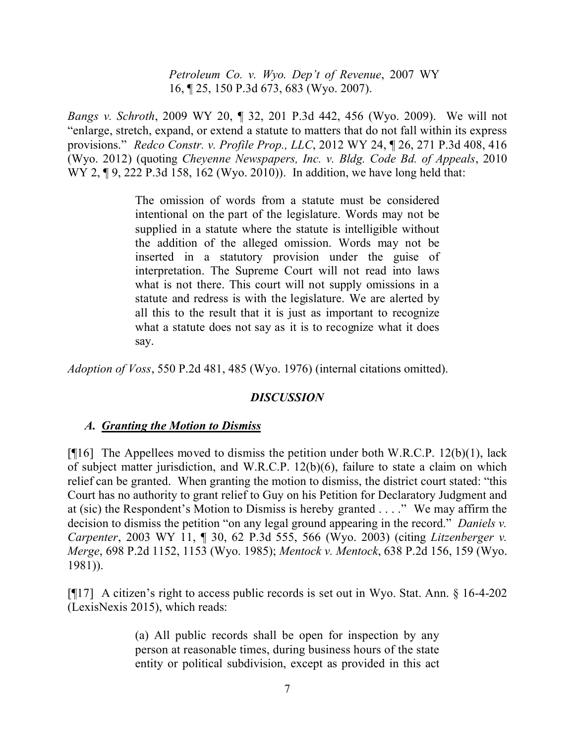*Petroleum Co. v. Wyo. Dep't of Revenue*, 2007 WY 16, ¶ 25, 150 P.3d 673, 683 (Wyo. 2007).

*Bangs v. Schroth*, 2009 WY 20, ¶ 32, 201 P.3d 442, 456 (Wyo. 2009). We will not "enlarge, stretch, expand, or extend a statute to matters that do not fall within its express provisions." *Redco Constr. v. Profile Prop., LLC*, 2012 WY 24, ¶ 26, 271 P.3d 408, 416 (Wyo. 2012) (quoting *Cheyenne Newspapers, Inc. v. Bldg. Code Bd. of Appeals*, 2010 WY 2, ¶ 9, 222 P.3d 158, 162 (Wyo. 2010)). In addition, we have long held that:

> The omission of words from a statute must be considered intentional on the part of the legislature. Words may not be supplied in a statute where the statute is intelligible without the addition of the alleged omission. Words may not be inserted in a statutory provision under the guise of interpretation. The Supreme Court will not read into laws what is not there. This court will not supply omissions in a statute and redress is with the legislature. We are alerted by all this to the result that it is just as important to recognize what a statute does not say as it is to recognize what it does say.

*Adoption of Voss*, 550 P.2d 481, 485 (Wyo. 1976) (internal citations omitted).

### *DISCUSSION*

### *A. Granting the Motion to Dismiss*

[ $[16]$ ] The Appellees moved to dismiss the petition under both W.R.C.P. 12(b)(1), lack of subject matter jurisdiction, and W.R.C.P. 12(b)(6), failure to state a claim on which relief can be granted. When granting the motion to dismiss, the district court stated: "this Court has no authority to grant relief to Guy on his Petition for Declaratory Judgment and at (sic) the Respondent's Motion to Dismiss is hereby granted . . . ." We may affirm the decision to dismiss the petition "on any legal ground appearing in the record." *Daniels v. Carpenter*, 2003 WY 11, ¶ 30, 62 P.3d 555, 566 (Wyo. 2003) (citing *Litzenberger v. Merge*, 698 P.2d 1152, 1153 (Wyo. 1985); *Mentock v. Mentock*, 638 P.2d 156, 159 (Wyo. 1981)).

[¶17] A citizen's right to access public records is set out in Wyo. Stat. Ann. § 16-4-202 (LexisNexis 2015), which reads:

> (a) All public records shall be open for inspection by any person at reasonable times, during business hours of the state entity or political subdivision, except as provided in this act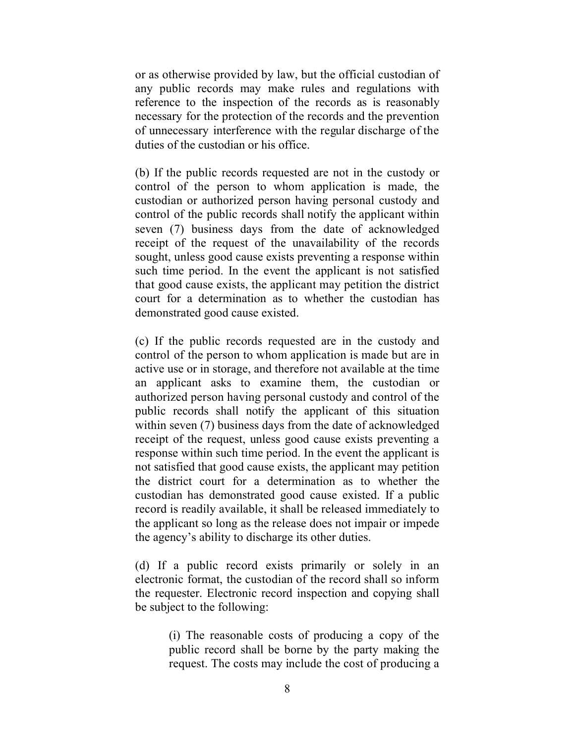or as otherwise provided by law, but the official custodian of any public records may make rules and regulations with reference to the inspection of the records as is reasonably necessary for the protection of the records and the prevention of unnecessary interference with the regular discharge of the duties of the custodian or his office.

(b) If the public records requested are not in the custody or control of the person to whom application is made, the custodian or authorized person having personal custody and control of the public records shall notify the applicant within seven (7) business days from the date of acknowledged receipt of the request of the unavailability of the records sought, unless good cause exists preventing a response within such time period. In the event the applicant is not satisfied that good cause exists, the applicant may petition the district court for a determination as to whether the custodian has demonstrated good cause existed.

(c) If the public records requested are in the custody and control of the person to whom application is made but are in active use or in storage, and therefore not available at the time an applicant asks to examine them, the custodian or authorized person having personal custody and control of the public records shall notify the applicant of this situation within seven (7) business days from the date of acknowledged receipt of the request, unless good cause exists preventing a response within such time period. In the event the applicant is not satisfied that good cause exists, the applicant may petition the district court for a determination as to whether the custodian has demonstrated good cause existed. If a public record is readily available, it shall be released immediately to the applicant so long as the release does not impair or impede the agency's ability to discharge its other duties.

(d) If a public record exists primarily or solely in an electronic format, the custodian of the record shall so inform the requester. Electronic record inspection and copying shall be subject to the following:

> (i) The reasonable costs of producing a copy of the public record shall be borne by the party making the request. The costs may include the cost of producing a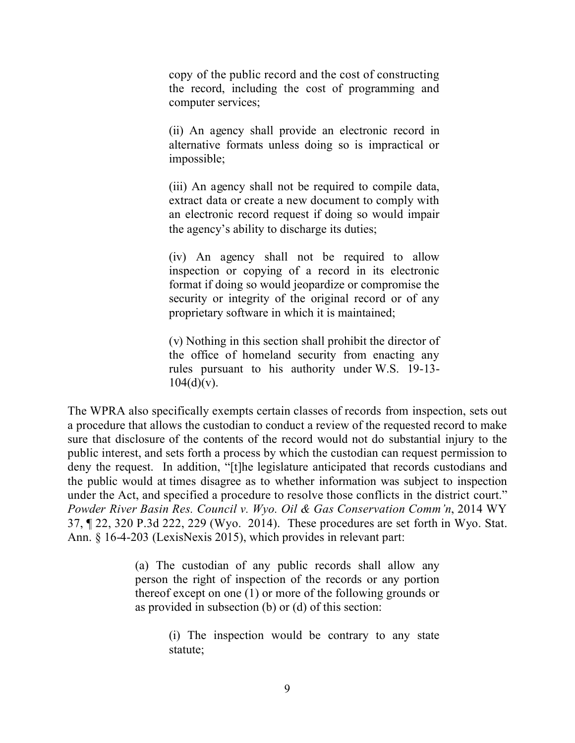copy of the public record and the cost of constructing the record, including the cost of programming and computer services;

(ii) An agency shall provide an electronic record in alternative formats unless doing so is impractical or impossible;

(iii) An agency shall not be required to compile data, extract data or create a new document to comply with an electronic record request if doing so would impair the agency's ability to discharge its duties;

(iv) An agency shall not be required to allow inspection or copying of a record in its electronic format if doing so would jeopardize or compromise the security or integrity of the original record or of any proprietary software in which it is maintained;

(v) Nothing in this section shall prohibit the director of the office of homeland security from enacting any rules pursuant to his authority under W.S. 19-13-  $104(d)(v)$ .

The WPRA also specifically exempts certain classes of records from inspection, sets out a procedure that allows the custodian to conduct a review of the requested record to make sure that disclosure of the contents of the record would not do substantial injury to the public interest, and sets forth a process by which the custodian can request permission to deny the request. In addition, "[t]he legislature anticipated that records custodians and the public would at times disagree as to whether information was subject to inspection under the Act, and specified a procedure to resolve those conflicts in the district court." *Powder River Basin Res. Council v. Wyo. Oil & Gas Conservation Comm'n*, 2014 WY 37, ¶ 22, 320 P.3d 222, 229 (Wyo. 2014). These procedures are set forth in Wyo. Stat. Ann. § 16-4-203 (LexisNexis 2015), which provides in relevant part:

> (a) The custodian of any public records shall allow any person the right of inspection of the records or any portion thereof except on one (1) or more of the following grounds or as provided in subsection (b) or (d) of this section:

> > (i) The inspection would be contrary to any state statute;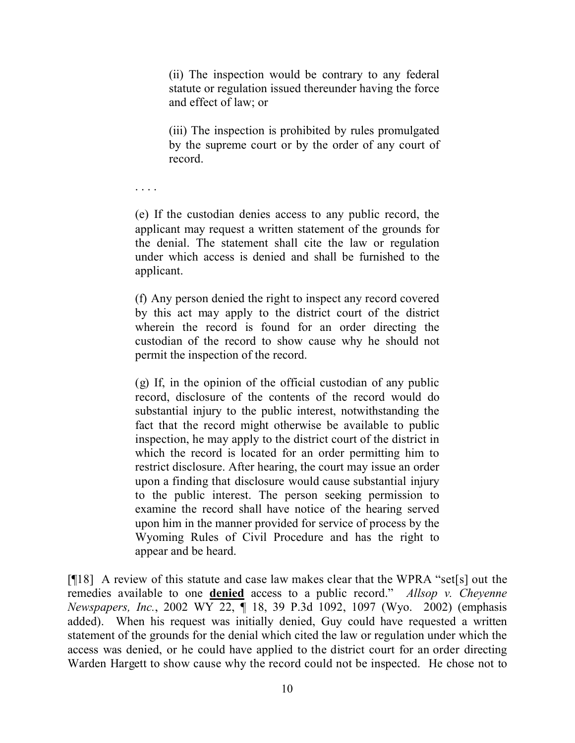(ii) The inspection would be contrary to any federal statute or regulation issued thereunder having the force and effect of law; or

(iii) The inspection is prohibited by rules promulgated by the supreme court or by the order of any court of record.

. . . .

(e) If the custodian denies access to any public record, the applicant may request a written statement of the grounds for the denial. The statement shall cite the law or regulation under which access is denied and shall be furnished to the applicant.

(f) Any person denied the right to inspect any record covered by this act may apply to the district court of the district wherein the record is found for an order directing the custodian of the record to show cause why he should not permit the inspection of the record.

(g) If, in the opinion of the official custodian of any public record, disclosure of the contents of the record would do substantial injury to the public interest, notwithstanding the fact that the record might otherwise be available to public inspection, he may apply to the district court of the district in which the record is located for an order permitting him to restrict disclosure. After hearing, the court may issue an order upon a finding that disclosure would cause substantial injury to the public interest. The person seeking permission to examine the record shall have notice of the hearing served upon him in the manner provided for service of process by the Wyoming Rules of Civil Procedure and has the right to appear and be heard.

[¶18] A review of this statute and case law makes clear that the WPRA "set[s] out the remedies available to one **denied** access to a public record." *Allsop v. Cheyenne Newspapers, Inc.*, 2002 WY 22, ¶ 18, 39 P.3d 1092, 1097 (Wyo. 2002) (emphasis added). When his request was initially denied, Guy could have requested a written statement of the grounds for the denial which cited the law or regulation under which the access was denied, or he could have applied to the district court for an order directing Warden Hargett to show cause why the record could not be inspected. He chose not to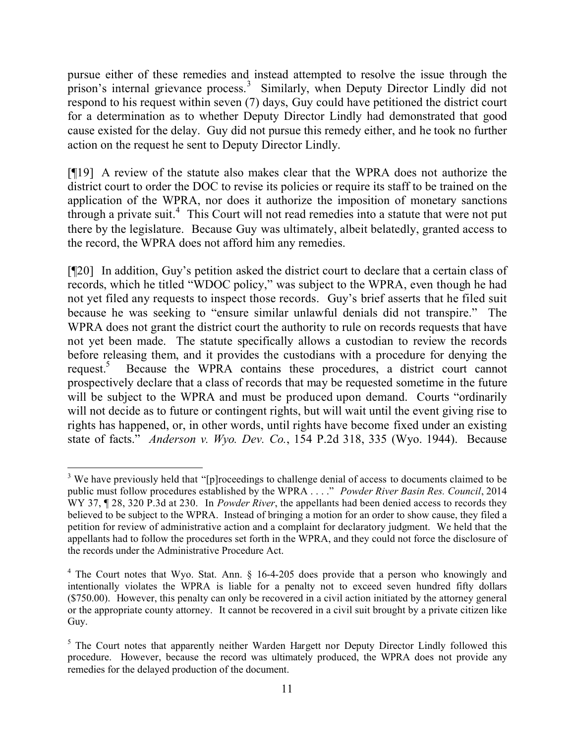pursue either of these remedies and instead attempted to resolve the issue through the prison's internal grievance process.<sup>3</sup> Similarly, when Deputy Director Lindly did not respond to his request within seven (7) days, Guy could have petitioned the district court for a determination as to whether Deputy Director Lindly had demonstrated that good cause existed for the delay. Guy did not pursue this remedy either, and he took no further action on the request he sent to Deputy Director Lindly.

[¶19] A review of the statute also makes clear that the WPRA does not authorize the district court to order the DOC to revise its policies or require its staff to be trained on the application of the WPRA, nor does it authorize the imposition of monetary sanctions through a private suit. 4 This Court will not read remedies into a statute that were not put there by the legislature. Because Guy was ultimately, albeit belatedly, granted access to the record, the WPRA does not afford him any remedies.

[¶20] In addition, Guy's petition asked the district court to declare that a certain class of records, which he titled "WDOC policy," was subject to the WPRA, even though he had not yet filed any requests to inspect those records. Guy's brief asserts that he filed suit because he was seeking to "ensure similar unlawful denials did not transpire." The WPRA does not grant the district court the authority to rule on records requests that have not yet been made. The statute specifically allows a custodian to review the records before releasing them, and it provides the custodians with a procedure for denying the request.<sup>5</sup> Because the WPRA contains these procedures, a district court cannot prospectively declare that a class of records that may be requested sometime in the future will be subject to the WPRA and must be produced upon demand. Courts "ordinarily will not decide as to future or contingent rights, but will wait until the event giving rise to rights has happened, or, in other words, until rights have become fixed under an existing state of facts." *Anderson v. Wyo. Dev. Co.*, 154 P.2d 318, 335 (Wyo. 1944). Because

 $\overline{a}$ 

<sup>&</sup>lt;sup>3</sup> We have previously held that "[p]roceedings to challenge denial of access to documents claimed to be public must follow procedures established by the WPRA . . . ." *Powder River Basin Res. Council*, 2014 WY 37, ¶ 28, 320 P.3d at 230. In *Powder River*, the appellants had been denied access to records they believed to be subject to the WPRA. Instead of bringing a motion for an order to show cause, they filed a petition for review of administrative action and a complaint for declaratory judgment. We held that the appellants had to follow the procedures set forth in the WPRA, and they could not force the disclosure of the records under the Administrative Procedure Act.

<sup>&</sup>lt;sup>4</sup> The Court notes that Wyo. Stat. Ann. § 16-4-205 does provide that a person who knowingly and intentionally violates the WPRA is liable for a penalty not to exceed seven hundred fifty dollars (\$750.00). However, this penalty can only be recovered in a civil action initiated by the attorney general or the appropriate county attorney. It cannot be recovered in a civil suit brought by a private citizen like Guy.

<sup>&</sup>lt;sup>5</sup> The Court notes that apparently neither Warden Hargett nor Deputy Director Lindly followed this procedure. However, because the record was ultimately produced, the WPRA does not provide any remedies for the delayed production of the document.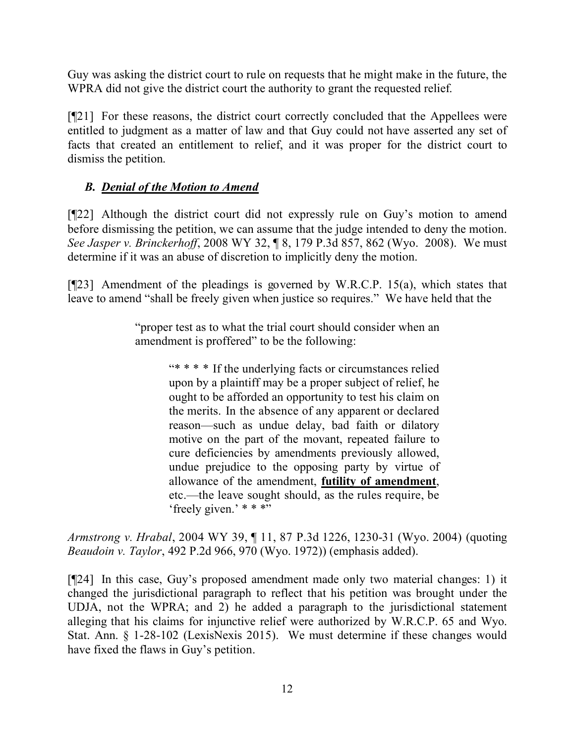Guy was asking the district court to rule on requests that he might make in the future, the WPRA did not give the district court the authority to grant the requested relief.

[¶21] For these reasons, the district court correctly concluded that the Appellees were entitled to judgment as a matter of law and that Guy could not have asserted any set of facts that created an entitlement to relief, and it was proper for the district court to dismiss the petition.

# *B. Denial of the Motion to Amend*

[¶22] Although the district court did not expressly rule on Guy's motion to amend before dismissing the petition, we can assume that the judge intended to deny the motion. *See Jasper v. Brinckerhoff*, 2008 WY 32, ¶ 8, 179 P.3d 857, 862 (Wyo. 2008). We must determine if it was an abuse of discretion to implicitly deny the motion.

[ $[$ 23] Amendment of the pleadings is governed by W.R.C.P. 15(a), which states that leave to amend "shall be freely given when justice so requires." We have held that the

> "proper test as to what the trial court should consider when an amendment is proffered" to be the following:

> > "\* \* \* \* If the underlying facts or circumstances relied upon by a plaintiff may be a proper subject of relief, he ought to be afforded an opportunity to test his claim on the merits. In the absence of any apparent or declared reason—such as undue delay, bad faith or dilatory motive on the part of the movant, repeated failure to cure deficiencies by amendments previously allowed, undue prejudice to the opposing party by virtue of allowance of the amendment, **futility of amendment**, etc.—the leave sought should, as the rules require, be 'freely given.' \* \* \*"

*Armstrong v. Hrabal*, 2004 WY 39, ¶ 11, 87 P.3d 1226, 1230-31 (Wyo. 2004) (quoting *Beaudoin v. Taylor*, 492 P.2d 966, 970 (Wyo. 1972)) (emphasis added).

[¶24] In this case, Guy's proposed amendment made only two material changes: 1) it changed the jurisdictional paragraph to reflect that his petition was brought under the UDJA, not the WPRA; and 2) he added a paragraph to the jurisdictional statement alleging that his claims for injunctive relief were authorized by W.R.C.P. 65 and Wyo. Stat. Ann. § 1-28-102 (LexisNexis 2015). We must determine if these changes would have fixed the flaws in Guy's petition.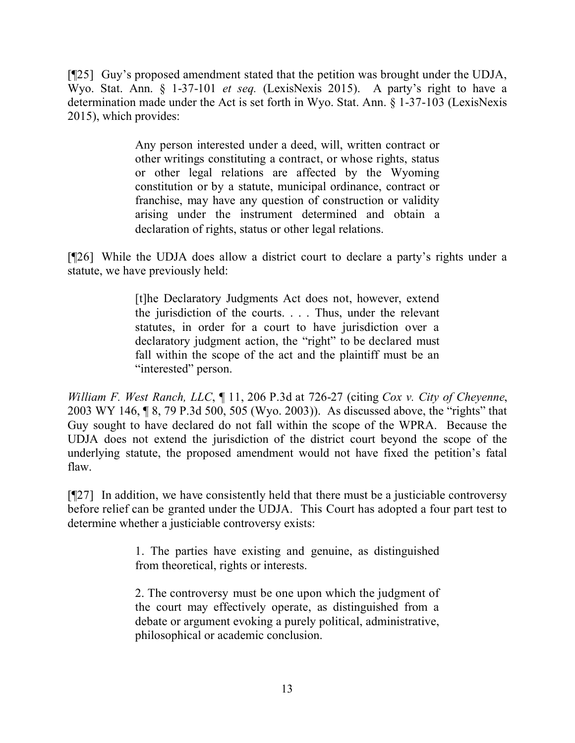[¶25] Guy's proposed amendment stated that the petition was brought under the UDJA, Wyo. Stat. Ann. § 1-37-101 *et seq.* (LexisNexis 2015). A party's right to have a determination made under the Act is set forth in Wyo. Stat. Ann. § 1-37-103 (LexisNexis 2015), which provides:

> Any person interested under a deed, will, written contract or other writings constituting a contract, or whose rights, status or other legal relations are affected by the Wyoming constitution or by a statute, municipal ordinance, contract or franchise, may have any question of construction or validity arising under the instrument determined and obtain a declaration of rights, status or other legal relations.

[¶26] While the UDJA does allow a district court to declare a party's rights under a statute, we have previously held:

> [t]he Declaratory Judgments Act does not, however, extend the jurisdiction of the courts. . . . Thus, under the relevant statutes, in order for a court to have jurisdiction over a declaratory judgment action, the "right" to be declared must fall within the scope of the act and the plaintiff must be an "interested" person.

*William F. West Ranch, LLC*, ¶ 11, 206 P.3d at 726-27 (citing *Cox v. City of Cheyenne*, 2003 WY 146, ¶ 8, 79 P.3d 500, 505 (Wyo. 2003)). As discussed above, the "rights" that Guy sought to have declared do not fall within the scope of the WPRA. Because the UDJA does not extend the jurisdiction of the district court beyond the scope of the underlying statute, the proposed amendment would not have fixed the petition's fatal flaw.

[¶27] In addition, we have consistently held that there must be a justiciable controversy before relief can be granted under the UDJA. This Court has adopted a four part test to determine whether a justiciable controversy exists:

> 1. The parties have existing and genuine, as distinguished from theoretical, rights or interests.

> 2. The controversy must be one upon which the judgment of the court may effectively operate, as distinguished from a debate or argument evoking a purely political, administrative, philosophical or academic conclusion.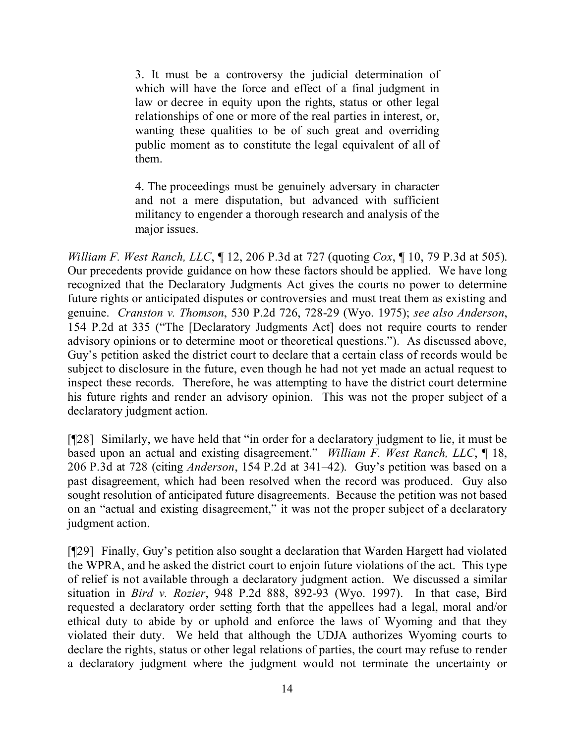3. It must be a controversy the judicial determination of which will have the force and effect of a final judgment in law or decree in equity upon the rights, status or other legal relationships of one or more of the real parties in interest, or, wanting these qualities to be of such great and overriding public moment as to constitute the legal equivalent of all of them.

4. The proceedings must be genuinely adversary in character and not a mere disputation, but advanced with sufficient militancy to engender a thorough research and analysis of the major issues.

*William F. West Ranch, LLC*, ¶ 12, 206 P.3d at 727 (quoting *Cox*, ¶ 10, 79 P.3d at 505). Our precedents provide guidance on how these factors should be applied. We have long recognized that the Declaratory Judgments Act gives the courts no power to determine future rights or anticipated disputes or controversies and must treat them as existing and genuine. *Cranston v. Thomson*, 530 P.2d 726, 728-29 (Wyo. 1975); *see also Anderson*, 154 P.2d at 335 ("The [Declaratory Judgments Act] does not require courts to render advisory opinions or to determine moot or theoretical questions."). As discussed above, Guy's petition asked the district court to declare that a certain class of records would be subject to disclosure in the future, even though he had not yet made an actual request to inspect these records. Therefore, he was attempting to have the district court determine his future rights and render an advisory opinion. This was not the proper subject of a declaratory judgment action.

[¶28] Similarly, we have held that "in order for a declaratory judgment to lie, it must be based upon an actual and existing disagreement." *William F. West Ranch, LLC*, ¶ 18, 206 P.3d at 728 (citing *Anderson*, 154 P.2d at 341–42). Guy's petition was based on a past disagreement, which had been resolved when the record was produced. Guy also sought resolution of anticipated future disagreements. Because the petition was not based on an "actual and existing disagreement," it was not the proper subject of a declaratory judgment action.

[¶29] Finally, Guy's petition also sought a declaration that Warden Hargett had violated the WPRA, and he asked the district court to enjoin future violations of the act. This type of relief is not available through a declaratory judgment action. We discussed a similar situation in *Bird v. Rozier*, 948 P.2d 888, 892-93 (Wyo. 1997). In that case, Bird requested a declaratory order setting forth that the appellees had a legal, moral and/or ethical duty to abide by or uphold and enforce the laws of Wyoming and that they violated their duty. We held that although the UDJA authorizes Wyoming courts to declare the rights, status or other legal relations of parties, the court may refuse to render a declaratory judgment where the judgment would not terminate the uncertainty or